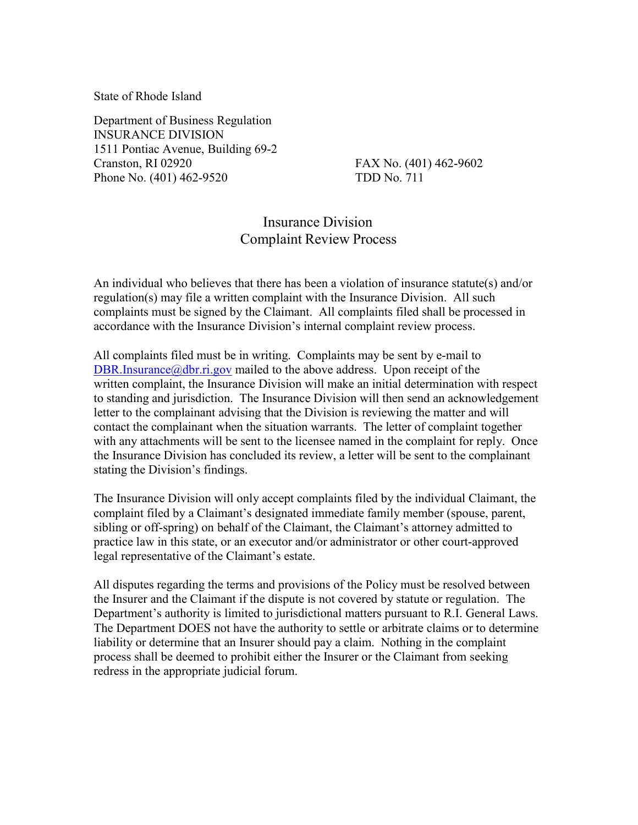State of Rhode Island

Department of Business Regulation INSURANCE DIVISION 1511 Pontiac Avenue, Building 69-2 Cranston, RI 02920 FAX No. (401) 462-9602 Phone No. (401) 462-9520 TDD No. 711

## Insurance Division Complaint Review Process

An individual who believes that there has been a violation of insurance statute(s) and/or regulation(s) may file a written complaint with the Insurance Division. All such complaints must be signed by the Claimant. All complaints filed shall be processed in accordance with the Insurance Division's internal complaint review process.

All complaints filed must be in writing. Complaints may be sent by e-mail to [DBR.Insurance@dbr.ri.gov](mailto:DBR.Insurance@dbr.ri.gov) mailed to the above address. Upon receipt of the written complaint, the Insurance Division will make an initial determination with respect to standing and jurisdiction. The Insurance Division will then send an acknowledgement letter to the complainant advising that the Division is reviewing the matter and will contact the complainant when the situation warrants. The letter of complaint together with any attachments will be sent to the licensee named in the complaint for reply. Once the Insurance Division has concluded its review, a letter will be sent to the complainant stating the Division's findings.

The Insurance Division will only accept complaints filed by the individual Claimant, the complaint filed by a Claimant's designated immediate family member (spouse, parent, sibling or off-spring) on behalf of the Claimant, the Claimant's attorney admitted to practice law in this state, or an executor and/or administrator or other court-approved legal representative of the Claimant's estate.

All disputes regarding the terms and provisions of the Policy must be resolved between the Insurer and the Claimant if the dispute is not covered by statute or regulation. The Department's authority is limited to jurisdictional matters pursuant to R.I. General Laws. The Department DOES not have the authority to settle or arbitrate claims or to determine liability or determine that an Insurer should pay a claim. Nothing in the complaint process shall be deemed to prohibit either the Insurer or the Claimant from seeking redress in the appropriate judicial forum.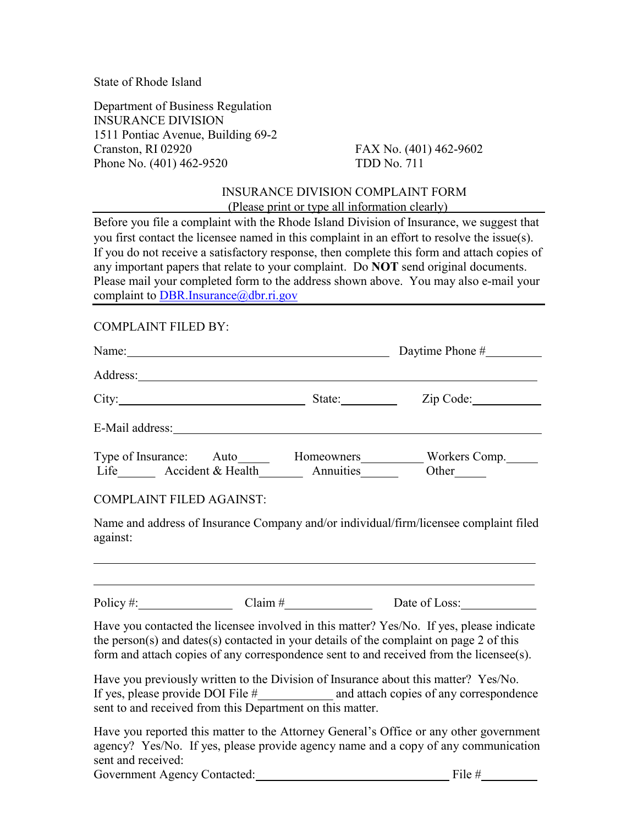State of Rhode Island

Department of Business Regulation INSURANCE DIVISION 1511 Pontiac Avenue, Building 69-2 Cranston, RI 02920 FAX No. (401) 462-9602 Phone No. (401) 462-9520 TDD No. 711

## INSURANCE DIVISION COMPLAINT FORM (Please print or type all information clearly)

Before you file a complaint with the Rhode Island Division of Insurance, we suggest that you first contact the licensee named in this complaint in an effort to resolve the issue(s). If you do not receive a satisfactory response, then complete this form and attach copies of any important papers that relate to your complaint. Do **NOT** send original documents. Please mail your completed form to the address shown above. You may also e-mail your complaint to [DBR.Insurance@dbr.ri.gov](mailto:DBR.Insurance@dbr.ri.gov)

## COMPLAINT FILED BY:

| Name: $\frac{1}{2}$ Daytime Phone $\frac{1}{2}$                                                                                                                                                                                |  |  |                                                                                                                                                                                                                                                                                  |  |
|--------------------------------------------------------------------------------------------------------------------------------------------------------------------------------------------------------------------------------|--|--|----------------------------------------------------------------------------------------------------------------------------------------------------------------------------------------------------------------------------------------------------------------------------------|--|
|                                                                                                                                                                                                                                |  |  |                                                                                                                                                                                                                                                                                  |  |
|                                                                                                                                                                                                                                |  |  | City: City: City: City: City: City: City: City: City: City: City: City: City: City: City: City: City: City: City: City: City: City: City: City: City: City: City: City: City: City: City: City: City: City: City: City: City:                                                    |  |
| E-Mail address: No. 1998. The Committee of the Committee of the Committee of the Committee of the Committee of the Committee of the Committee of the Committee of the Committee of the Committee of the Committee of the Commi |  |  |                                                                                                                                                                                                                                                                                  |  |
| <b>COMPLAINT FILED AGAINST:</b>                                                                                                                                                                                                |  |  |                                                                                                                                                                                                                                                                                  |  |
| against:                                                                                                                                                                                                                       |  |  | Name and address of Insurance Company and/or individual/firm/licensee complaint filed                                                                                                                                                                                            |  |
|                                                                                                                                                                                                                                |  |  | Policy #: $\qquad \qquad \qquad$ Claim # Date of Loss:                                                                                                                                                                                                                           |  |
|                                                                                                                                                                                                                                |  |  | Have you contacted the licensee involved in this matter? Yes/No. If yes, please indicate<br>the person(s) and dates(s) contacted in your details of the complaint on page $2$ of this<br>form and attach copies of any correspondence sent to and received from the licensee(s). |  |
|                                                                                                                                                                                                                                |  |  | Have you previously written to the Division of Insurance about this matter? Ves/No                                                                                                                                                                                               |  |

Have you previously written to the Division of Insurance about this matter? Yes/No. If yes, please provide DOI File  $#$  and attach copies of any correspondence sent to and received from this Department on this matter.

Have you reported this matter to the Attorney General's Office or any other government agency? Yes/No. If yes, please provide agency name and a copy of any communication sent and received:

Government Agency Contacted: File #